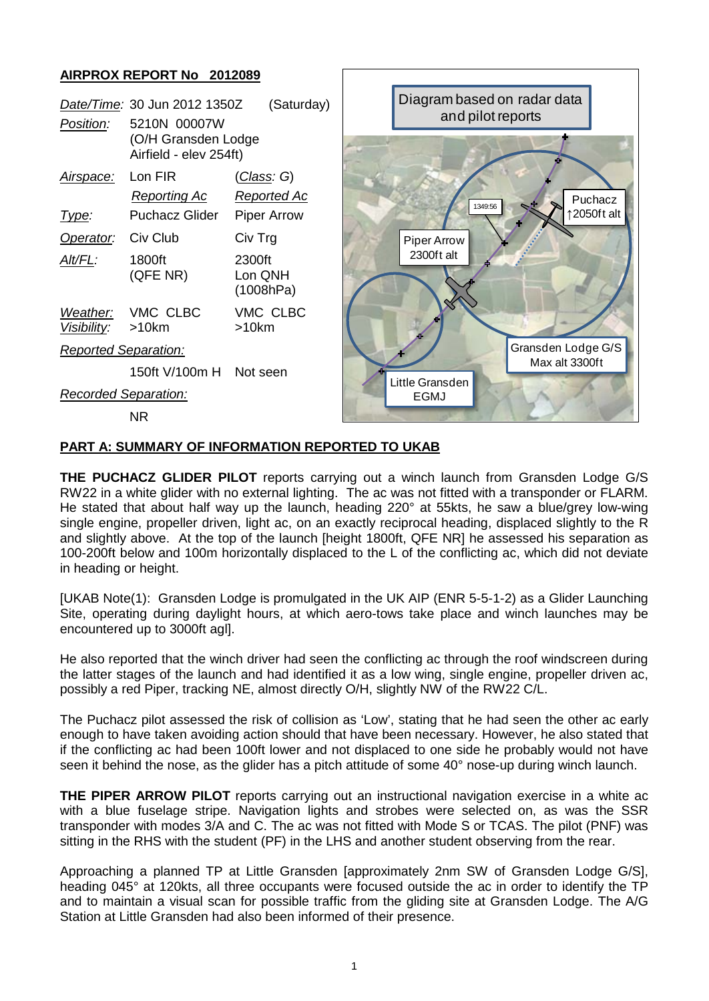## **AIRPROX REPORT No 2012089**



## **PART A: SUMMARY OF INFORMATION REPORTED TO UKAB**

**THE PUCHACZ GLIDER PILOT** reports carrying out a winch launch from Gransden Lodge G/S RW22 in a white glider with no external lighting. The ac was not fitted with a transponder or FLARM. He stated that about half way up the launch, heading 220° at 55kts, he saw a blue/grey low-wing single engine, propeller driven, light ac, on an exactly reciprocal heading, displaced slightly to the R and slightly above. At the top of the launch [height 1800ft, QFE NR] he assessed his separation as 100-200ft below and 100m horizontally displaced to the L of the conflicting ac, which did not deviate in heading or height.

[UKAB Note(1): Gransden Lodge is promulgated in the UK AIP (ENR 5-5-1-2) as a Glider Launching Site, operating during daylight hours, at which aero-tows take place and winch launches may be encountered up to 3000ft agl].

He also reported that the winch driver had seen the conflicting ac through the roof windscreen during the latter stages of the launch and had identified it as a low wing, single engine, propeller driven ac, possibly a red Piper, tracking NE, almost directly O/H, slightly NW of the RW22 C/L.

The Puchacz pilot assessed the risk of collision as 'Low', stating that he had seen the other ac early enough to have taken avoiding action should that have been necessary. However, he also stated that if the conflicting ac had been 100ft lower and not displaced to one side he probably would not have seen it behind the nose, as the glider has a pitch attitude of some 40° nose-up during winch launch.

**THE PIPER ARROW PILOT** reports carrying out an instructional navigation exercise in a white ac with a blue fuselage stripe. Navigation lights and strobes were selected on, as was the SSR transponder with modes 3/A and C. The ac was not fitted with Mode S or TCAS. The pilot (PNF) was sitting in the RHS with the student (PF) in the LHS and another student observing from the rear.

Approaching a planned TP at Little Gransden [approximately 2nm SW of Gransden Lodge G/S], heading 045° at 120kts, all three occupants were focused outside the ac in order to identify the TP and to maintain a visual scan for possible traffic from the gliding site at Gransden Lodge. The A/G Station at Little Gransden had also been informed of their presence.